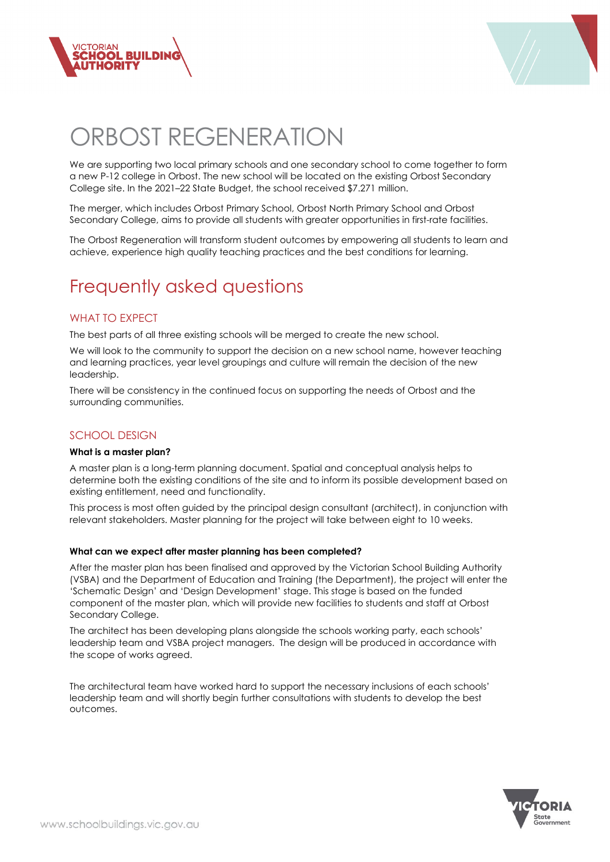



# ORBOST REGENERATION

We are supporting two local primary schools and one secondary school to come together to form a new P-12 college in Orbost. The new school will be located on the existing Orbost Secondary College site. In the 2021–22 State Budget, the school received \$7.271 million.

The merger, which includes Orbost Primary School, Orbost North Primary School and Orbost Secondary College, aims to provide all students with greater opportunities in first-rate facilities.

The Orbost Regeneration will transform student outcomes by empowering all students to learn and achieve, experience high quality teaching practices and the best conditions for learning.

# Frequently asked questions

# WHAT TO EXPECT

The best parts of all three existing schools will be merged to create the new school.

We will look to the community to support the decision on a new school name, however teaching and learning practices, year level groupings and culture will remain the decision of the new leadership.

There will be consistency in the continued focus on supporting the needs of Orbost and the surrounding communities.

# SCHOOL DESIGN

#### **What is a master plan?**

A master plan is a long-term planning document. Spatial and conceptual analysis helps to determine both the existing conditions of the site and to inform its possible development based on existing entitlement, need and functionality.

This process is most often guided by the principal design consultant (architect), in conjunction with relevant stakeholders. Master planning for the project will take between eight to 10 weeks.

#### **What can we expect after master planning has been completed?**

After the master plan has been finalised and approved by the Victorian School Building Authority (VSBA) and the Department of Education and Training (the Department), the project will enter the 'Schematic Design' and 'Design Development' stage. This stage is based on the funded component of the master plan, which will provide new facilities to students and staff at Orbost Secondary College.

The architect has been developing plans alongside the schools working party, each schools' leadership team and VSBA project managers. The design will be produced in accordance with the scope of works agreed.

The architectural team have worked hard to support the necessary inclusions of each schools' leadership team and will shortly begin further consultations with students to develop the best outcomes.

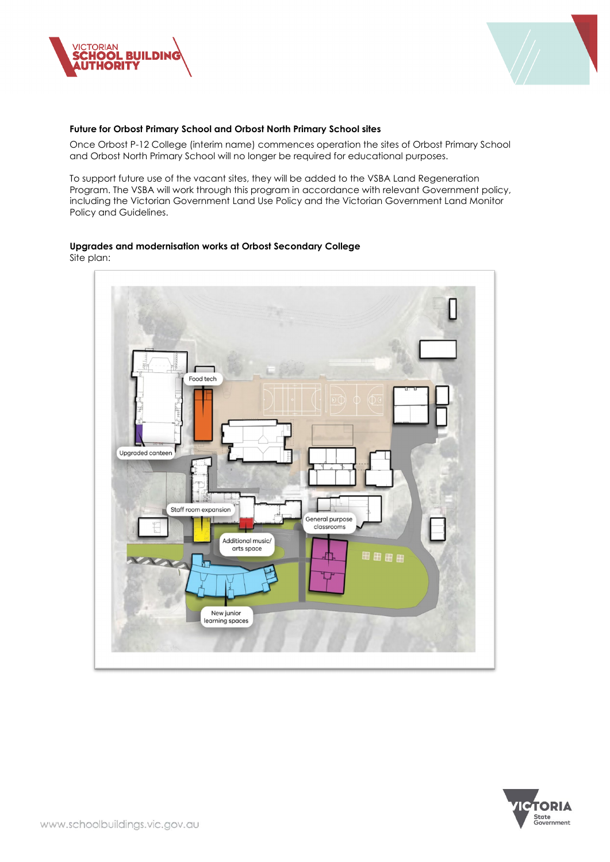



#### **Future for Orbost Primary School and Orbost North Primary School sites**

Once Orbost P-12 College (interim name) commences operation the sites of Orbost Primary School and Orbost North Primary School will no longer be required for educational purposes.

To support future use of the vacant sites, they will be added to the VSBA Land Regeneration Program. The VSBA will work through this program in accordance with relevant Government policy, including the Victorian Government Land Use Policy and the Victorian Government Land Monitor Policy and Guidelines.

## **Upgrades and modernisation works at Orbost Secondary College**

Site plan:



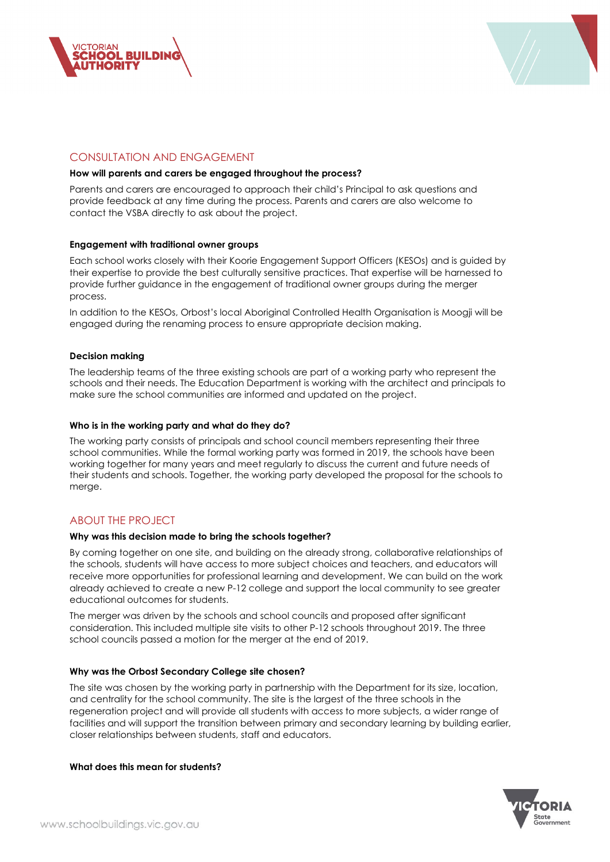



# CONSULTATION AND ENGAGEMENT

#### **How will parents and carers be engaged throughout the process?**

Parents and carers are encouraged to approach their child's Principal to ask questions and provide feedback at any time during the process. Parents and carers are also welcome to contact the VSBA directly to ask about the project.

#### **Engagement with traditional owner groups**

Each school works closely with their Koorie Engagement Support Officers (KESOs) and is guided by their expertise to provide the best culturally sensitive practices. That expertise will be harnessed to provide further guidance in the engagement of traditional owner groups during the merger process.

In addition to the KESOs, Orbost's local Aboriginal Controlled Health Organisation is Moogji will be engaged during the renaming process to ensure appropriate decision making.

#### **Decision making**

The leadership teams of the three existing schools are part of a working party who represent the schools and their needs. The Education Department is working with the architect and principals to make sure the school communities are informed and updated on the project.

#### **Who is in the working party and what do they do?**

The working party consists of principals and school council members representing their three school communities. While the formal working party was formed in 2019, the schools have been working together for many years and meet regularly to discuss the current and future needs of their students and schools. Together, the working party developed the proposal for the schools to merge.

## ABOUT THE PROJECT

#### **Why was this decision made to bring the schools together?**

By coming together on one site, and building on the already strong, collaborative relationships of the schools, students will have access to more subject choices and teachers, and educators will receive more opportunities for professional learning and development. We can build on the work already achieved to create a new P-12 college and support the local community to see greater educational outcomes for students.

The merger was driven by the schools and school councils and proposed after significant consideration. This included multiple site visits to other P-12 schools throughout 2019. The three school councils passed a motion for the merger at the end of 2019.

#### **Why was the Orbost Secondary College site chosen?**

The site was chosen by the working party in partnership with the Department for its size, location, and centrality for the school community. The site is the largest of the three schools in the regeneration project and will provide all students with access to more subjects, a wider range of facilities and will support the transition between primary and secondary learning by building earlier, closer relationships between students, staff and educators.

#### **What does this mean for students?**